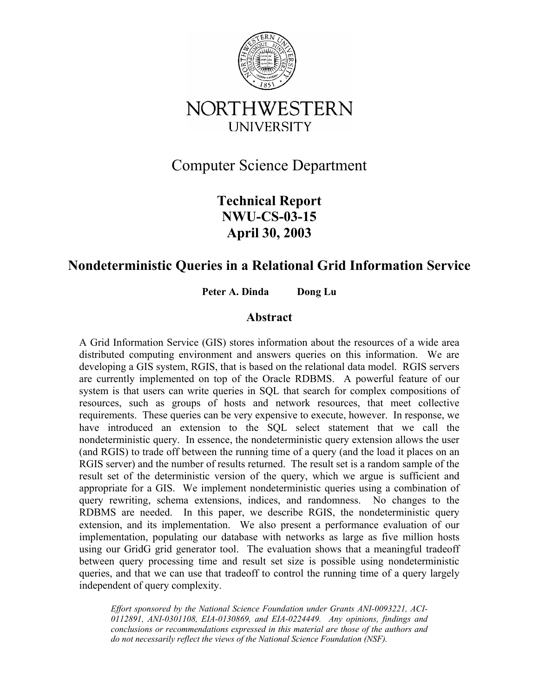

# Computer Science Department

# **Technical Report NWU-CS-03-15 April 30, 2003**

## **Nondeterministic Queries in a Relational Grid Information Service**

Peter A. Dinda Dong Lu

## **Abstract**

A Grid Information Service (GIS) stores information about the resources of a wide area distributed computing environment and answers queries on this information. We are developing a GIS system, RGIS, that is based on the relational data model. RGIS servers are currently implemented on top of the Oracle RDBMS. A powerful feature of our system is that users can write queries in SQL that search for complex compositions of resources, such as groups of hosts and network resources, that meet collective requirements. These queries can be very expensive to execute, however. In response, we have introduced an extension to the SQL select statement that we call the nondeterministic query. In essence, the nondeterministic query extension allows the user (and RGIS) to trade off between the running time of a query (and the load it places on an RGIS server) and the number of results returned. The result set is a random sample of the result set of the deterministic version of the query, which we argue is sufficient and appropriate for a GIS. We implement nondeterministic queries using a combination of query rewriting, schema extensions, indices, and randomness. No changes to the RDBMS are needed. In this paper, we describe RGIS, the nondeterministic query extension, and its implementation. We also present a performance evaluation of our implementation, populating our database with networks as large as five million hosts using our GridG grid generator tool. The evaluation shows that a meaningful tradeoff between query processing time and result set size is possible using nondeterministic queries, and that we can use that tradeoff to control the running time of a query largely independent of query complexity.

*Effort sponsored by the National Science Foundation under Grants ANI-0093221, ACI-0112891, ANI-0301108, EIA-0130869, and EIA-0224449. Any opinions, findings and conclusions or recommendations expressed in this material are those of the authors and do not necessarily reflect the views of the National Science Foundation (NSF).*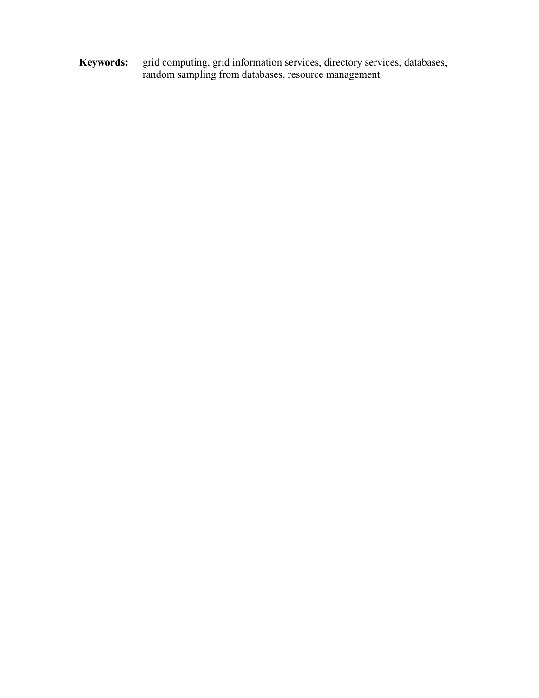**Keywords:** grid computing, grid information services, directory services, databases, random sampling from databases, resource management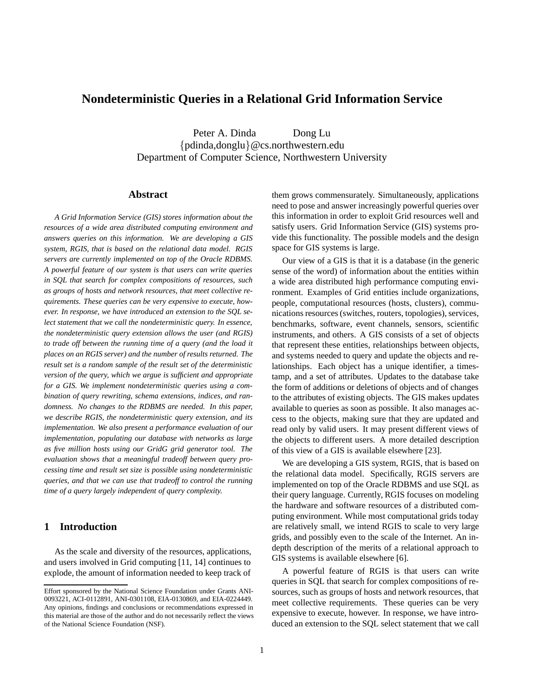## **Nondeterministic Queries in a Relational Grid Information Service**

Peter A. Dinda Dong Lu *{*pdinda,donglu*}*@cs.northwestern.edu Department of Computer Science, Northwestern University

## **Abstract**

*A Grid Information Service (GIS) stores information about the resources of a wide area distributed computing environment and answers queries on this information. We are developing a GIS system, RGIS, that is based on the relational data model. RGIS servers are currently implemented on top of the Oracle RDBMS. A powerful feature of our system is that users can write queries in SQL that search for complex compositions of resources, such as groups of hosts and network resources, that meet collective requirements. These queries can be very expensive to execute, however. In response, we have introduced an extension to the SQL select statement that we call the nondeterministic query. In essence, the nondeterministic query extension allows the user (and RGIS) to trade off between the running time of a query (and the load it places on an RGIS server) and the number of results returned. The result set is a random sample of the result set of the deterministic version of the query, which we argue is sufficient and appropriate for a GIS. We implement nondeterministic queries using a combination of query rewriting, schema extensions, indices, and randomness. No changes to the RDBMS are needed. In this paper, we describe RGIS, the nondeterministic query extension, and its implementation. We also present a performance evaluation of our implementation, populating our database with networks as large as five million hosts using our GridG grid generator tool. The evaluation shows that a meaningful tradeoff between query processing time and result set size is possible using nondeterministic queries, and that we can use that tradeoff to control the running time of a query largely independent of query complexity.*

## **1 Introduction**

As the scale and diversity of the resources, applications, and users involved in Grid computing [11, 14] continues to explode, the amount of information needed to keep track of them grows commensurately. Simultaneously, applications need to pose and answer increasingly powerful queries over this information in order to exploit Grid resources well and satisfy users. Grid Information Service (GIS) systems provide this functionality. The possible models and the design space for GIS systems is large.

Our view of a GIS is that it is a database (in the generic sense of the word) of information about the entities within a wide area distributed high performance computing environment. Examples of Grid entities include organizations, people, computational resources (hosts, clusters), communications resources (switches, routers, topologies), services, benchmarks, software, event channels, sensors, scientific instruments, and others. A GIS consists of a set of objects that represent these entities, relationships between objects, and systems needed to query and update the objects and relationships. Each object has a unique identifier, a timestamp, and a set of attributes. Updates to the database take the form of additions or deletions of objects and of changes to the attributes of existing objects. The GIS makes updates available to queries as soon as possible. It also manages access to the objects, making sure that they are updated and read only by valid users. It may present different views of the objects to different users. A more detailed description of this view of a GIS is available elsewhere [23].

We are developing a GIS system, RGIS, that is based on the relational data model. Specifically, RGIS servers are implemented on top of the Oracle RDBMS and use SQL as their query language. Currently, RGIS focuses on modeling the hardware and software resources of a distributed computing environment. While most computational grids today are relatively small, we intend RGIS to scale to very large grids, and possibly even to the scale of the Internet. An indepth description of the merits of a relational approach to GIS systems is available elsewhere [6].

A powerful feature of RGIS is that users can write queries in SQL that search for complex compositions of resources, such as groups of hosts and network resources, that meet collective requirements. These queries can be very expensive to execute, however. In response, we have introduced an extension to the SQL select statement that we call

Effort sponsored by the National Science Foundation under Grants ANI-0093221, ACI-0112891, ANI-0301108, EIA-0130869, and EIA-0224449. Any opinions, findings and conclusions or recommendations expressed in this material are those of the author and do not necessarily reflect the views of the National Science Foundation (NSF).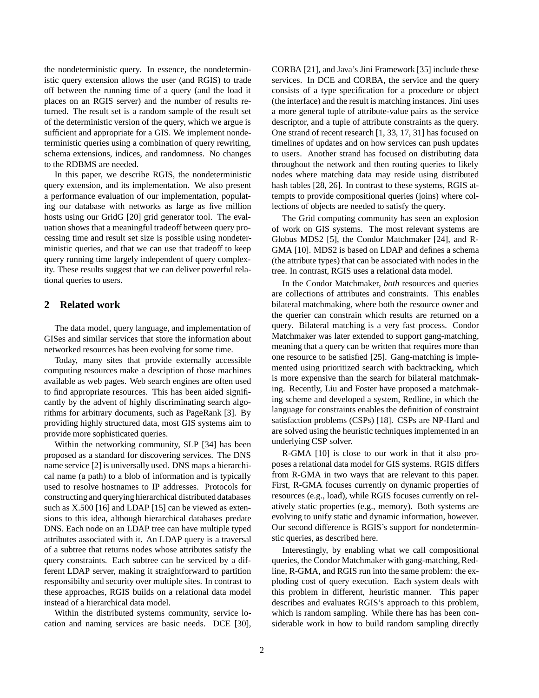the nondeterministic query. In essence, the nondeterministic query extension allows the user (and RGIS) to trade off between the running time of a query (and the load it places on an RGIS server) and the number of results returned. The result set is a random sample of the result set of the deterministic version of the query, which we argue is sufficient and appropriate for a GIS. We implement nondeterministic queries using a combination of query rewriting, schema extensions, indices, and randomness. No changes to the RDBMS are needed.

In this paper, we describe RGIS, the nondeterministic query extension, and its implementation. We also present a performance evaluation of our implementation, populating our database with networks as large as five million hosts using our GridG [20] grid generator tool. The evaluation shows that a meaningful tradeoff between query processing time and result set size is possible using nondeterministic queries, and that we can use that tradeoff to keep query running time largely independent of query complexity. These results suggest that we can deliver powerful relational queries to users.

### **2 Related work**

The data model, query language, and implementation of GISes and similar services that store the information about networked resources has been evolving for some time.

Today, many sites that provide externally accessible computing resources make a desciption of those machines available as web pages. Web search engines are often used to find appropriate resources. This has been aided significantly by the advent of highly discriminating search algorithms for arbitrary documents, such as PageRank [3]. By providing highly structured data, most GIS systems aim to provide more sophisticated queries.

Within the networking community, SLP [34] has been proposed as a standard for discovering services. The DNS name service [2] is universally used. DNS maps a hierarchical name (a path) to a blob of information and is typically used to resolve hostnames to IP addresses. Protocols for constructing and querying hierarchical distributed databases such as X.500 [16] and LDAP [15] can be viewed as extensions to this idea, although hierarchical databases predate DNS. Each node on an LDAP tree can have multiple typed attributes associated with it. An LDAP query is a traversal of a subtree that returns nodes whose attributes satisfy the query constraints. Each subtree can be serviced by a different LDAP server, making it straightforward to partition responsibilty and security over multiple sites. In contrast to these approaches, RGIS builds on a relational data model instead of a hierarchical data model.

Within the distributed systems community, service location and naming services are basic needs. DCE [30], CORBA [21], and Java's Jini Framework [35] include these services. In DCE and CORBA, the service and the query consists of a type specification for a procedure or object (the interface) and the result is matching instances. Jini uses a more general tuple of attribute-value pairs as the service descriptor, and a tuple of attribute constraints as the query. One strand of recent research [1, 33, 17, 31] has focused on timelines of updates and on how services can push updates to users. Another strand has focused on distributing data throughout the network and then routing queries to likely nodes where matching data may reside using distributed hash tables [28, 26]. In contrast to these systems, RGIS attempts to provide compositional queries (joins) where collections of objects are needed to satisfy the query.

The Grid computing community has seen an explosion of work on GIS systems. The most relevant systems are Globus MDS2 [5], the Condor Matchmaker [24], and R-GMA [10]. MDS2 is based on LDAP and defines a schema (the attribute types) that can be associated with nodes in the tree. In contrast, RGIS uses a relational data model.

In the Condor Matchmaker, *both* resources and queries are collections of attributes and constraints. This enables bilateral matchmaking, where both the resource owner and the querier can constrain which results are returned on a query. Bilateral matching is a very fast process. Condor Matchmaker was later extended to support gang-matching, meaning that a query can be written that requires more than one resource to be satisfied [25]. Gang-matching is implemented using prioritized search with backtracking, which is more expensive than the search for bilateral matchmaking. Recently, Liu and Foster have proposed a matchmaking scheme and developed a system, Redline, in which the language for constraints enables the definition of constraint satisfaction problems (CSPs) [18]. CSPs are NP-Hard and are solved using the heuristic techniques implemented in an underlying CSP solver.

R-GMA [10] is close to our work in that it also proposes a relational data model for GIS systems. RGIS differs from R-GMA in two ways that are relevant to this paper. First, R-GMA focuses currently on dynamic properties of resources (e.g., load), while RGIS focuses currently on relatively static properties (e.g., memory). Both systems are evolving to unify static and dynamic information, however. Our second difference is RGIS's support for nondeterminstic queries, as described here.

Interestingly, by enabling what we call compositional queries, the Condor Matchmaker with gang-matching, Redline, R-GMA, and RGIS run into the same problem: the exploding cost of query execution. Each system deals with this problem in different, heuristic manner. This paper describes and evaluates RGIS's approach to this problem, which is random sampling. While there has has been considerable work in how to build random sampling directly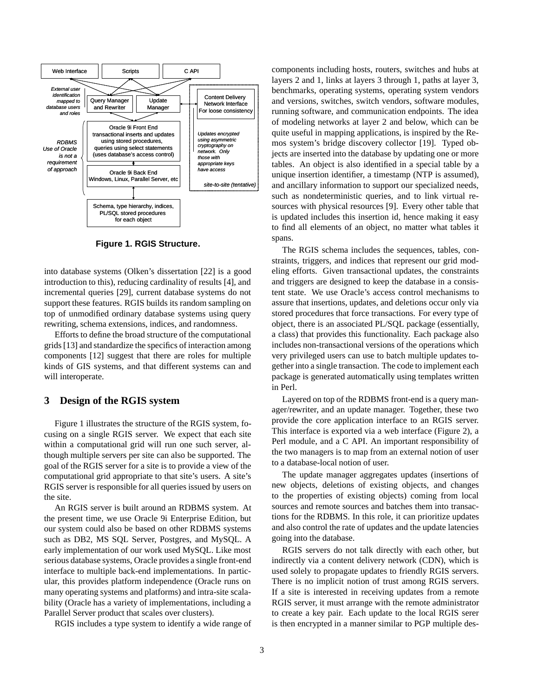

**Figure 1. RGIS Structure.**

into database systems (Olken's dissertation [22] is a good introduction to this), reducing cardinality of results [4], and incremental queries [29], current database systems do not support these features. RGIS builds its random sampling on top of unmodified ordinary database systems using query rewriting, schema extensions, indices, and randomness.

Efforts to define the broad structure of the computational grids [13] and standardize the specifics of interaction among components [12] suggest that there are roles for multiple kinds of GIS systems, and that different systems can and will interoperate.

### **3 Design of the RGIS system**

Figure 1 illustrates the structure of the RGIS system, focusing on a single RGIS server. We expect that each site within a computational grid will run one such server, although multiple servers per site can also be supported. The goal of the RGIS server for a site is to provide a view of the computational grid appropriate to that site's users. A site's RGIS server is responsible for all queries issued by users on the site.

An RGIS server is built around an RDBMS system. At the present time, we use Oracle 9i Enterprise Edition, but our system could also be based on other RDBMS systems such as DB2, MS SQL Server, Postgres, and MySQL. A early implementation of our work used MySQL. Like most serious database systems, Oracle provides a single front-end interface to multiple back-end implementations. In particular, this provides platform independence (Oracle runs on many operating systems and platforms) and intra-site scalability (Oracle has a variety of implementations, including a Parallel Server product that scales over clusters).

RGIS includes a type system to identify a wide range of

components including hosts, routers, switches and hubs at layers 2 and 1, links at layers 3 through 1, paths at layer 3, benchmarks, operating systems, operating system vendors and versions, switches, switch vendors, software modules, running software, and communication endpoints. The idea of modeling networks at layer 2 and below, which can be quite useful in mapping applications, is inspired by the Remos system's bridge discovery collector [19]. Typed objects are inserted into the database by updating one or more tables. An object is also identified in a special table by a unique insertion identifier, a timestamp (NTP is assumed), and ancillary information to support our specialized needs, such as nondeterministic queries, and to link virtual resources with physical resources [9]. Every other table that is updated includes this insertion id, hence making it easy to find all elements of an object, no matter what tables it spans.

The RGIS schema includes the sequences, tables, constraints, triggers, and indices that represent our grid modeling efforts. Given transactional updates, the constraints and triggers are designed to keep the database in a consistent state. We use Oracle's access control mechanisms to assure that insertions, updates, and deletions occur only via stored procedures that force transactions. For every type of object, there is an associated PL/SQL package (essentially, a class) that provides this functionality. Each package also includes non-transactional versions of the operations which very privileged users can use to batch multiple updates together into a single transaction. The code to implement each package is generated automatically using templates written in Perl.

Layered on top of the RDBMS front-end is a query manager/rewriter, and an update manager. Together, these two provide the core application interface to an RGIS server. This interface is exported via a web interface (Figure 2), a Perl module, and a C API. An important responsibility of the two managers is to map from an external notion of user to a database-local notion of user.

The update manager aggregates updates (insertions of new objects, deletions of existing objects, and changes to the properties of existing objects) coming from local sources and remote sources and batches them into transactions for the RDBMS. In this role, it can prioritize updates and also control the rate of updates and the update latencies going into the database.

RGIS servers do not talk directly with each other, but indirectly via a content delivery network (CDN), which is used solely to propagate updates to friendly RGIS servers. There is no implicit notion of trust among RGIS servers. If a site is interested in receiving updates from a remote RGIS server, it must arrange with the remote administrator to create a key pair. Each update to the local RGIS serer is then encrypted in a manner similar to PGP multiple des-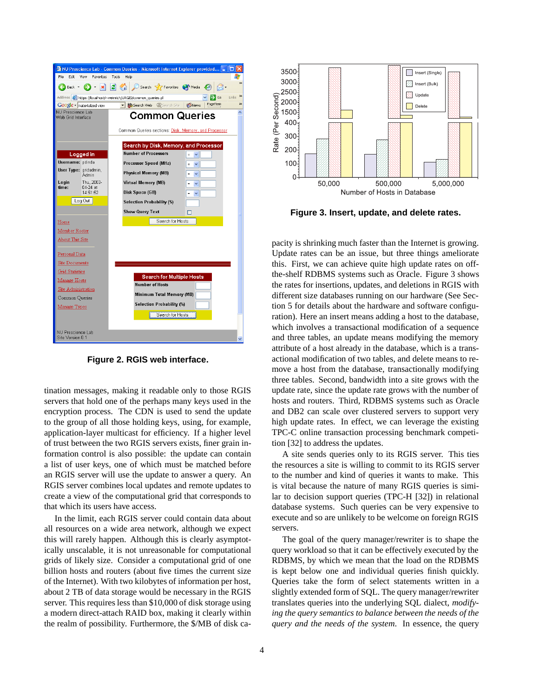

**Figure 2. RGIS web interface.**

tination messages, making it readable only to those RGIS servers that hold one of the perhaps many keys used in the encryption process. The CDN is used to send the update to the group of all those holding keys, using, for example, application-layer multicast for efficiency. If a higher level of trust between the two RGIS servers exists, finer grain information control is also possible: the update can contain a list of user keys, one of which must be matched before an RGIS server will use the update to answer a query. An RGIS server combines local updates and remote updates to create a view of the computational grid that corresponds to that which its users have access.

In the limit, each RGIS server could contain data about all resources on a wide area network, although we expect this will rarely happen. Although this is clearly asymptotically unscalable, it is not unreasonable for computational grids of likely size. Consider a computational grid of one billion hosts and routers (about five times the current size of the Internet). With two kilobytes of information per host, about 2 TB of data storage would be necessary in the RGIS server. This requires less than \$10,000 of disk storage using a modern direct-attach RAID box, making it clearly within the realm of possibility. Furthermore, the \$/MB of disk ca-



**Figure 3. Insert, update, and delete rates.**

pacity is shrinking much faster than the Internet is growing. Update rates can be an issue, but three things ameliorate this. First, we can achieve quite high update rates on offthe-shelf RDBMS systems such as Oracle. Figure 3 shows the rates for insertions, updates, and deletions in RGIS with different size databases running on our hardware (See Section 5 for details about the hardware and software configuration). Here an insert means adding a host to the database, which involves a transactional modification of a sequence and three tables, an update means modifying the memory attribute of a host already in the database, which is a transactional modification of two tables, and delete means to remove a host from the database, transactionally modifying three tables. Second, bandwidth into a site grows with the update rate, since the update rate grows with the number of hosts and routers. Third, RDBMS systems such as Oracle and DB2 can scale over clustered servers to support very high update rates. In effect, we can leverage the existing TPC-C online transaction processing benchmark competition [32] to address the updates.

A site sends queries only to its RGIS server. This ties the resources a site is willing to commit to its RGIS server to the number and kind of queries it wants to make. This is vital because the nature of many RGIS queries is similar to decision support queries (TPC-H [32]) in relational database systems. Such queries can be very expensive to execute and so are unlikely to be welcome on foreign RGIS servers.

The goal of the query manager/rewriter is to shape the query workload so that it can be effectively executed by the RDBMS, by which we mean that the load on the RDBMS is kept below one and individual queries finish quickly. Queries take the form of select statements written in a slightly extended form of SQL. The query manager/rewriter translates queries into the underlying SQL dialect, *modifying the query semantics to balance between the needs of the query and the needs of the system*. In essence, the query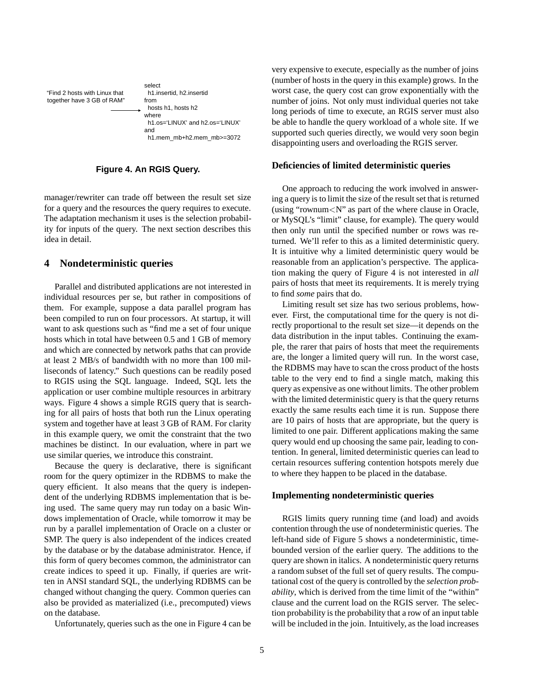"Find 2 hosts with Linux that together have 3 GB of RAM"

select h1.insertid, h2.insertid from hosts h1, hosts h2 where h1.os='LINUX' and h2.os='LINUX' and h1.mem\_mb+h2.mem\_mb>=3072

#### **Figure 4. An RGIS Query.**

manager/rewriter can trade off between the result set size for a query and the resources the query requires to execute. The adaptation mechanism it uses is the selection probability for inputs of the query. The next section describes this idea in detail.

#### **4 Nondeterministic queries**

Parallel and distributed applications are not interested in individual resources per se, but rather in compositions of them. For example, suppose a data parallel program has been compiled to run on four processors. At startup, it will want to ask questions such as "find me a set of four unique hosts which in total have between 0.5 and 1 GB of memory and which are connected by network paths that can provide at least 2 MB/s of bandwidth with no more than 100 milliseconds of latency." Such questions can be readily posed to RGIS using the SQL language. Indeed, SQL lets the application or user combine multiple resources in arbitrary ways. Figure 4 shows a simple RGIS query that is searching for all pairs of hosts that both run the Linux operating system and together have at least 3 GB of RAM. For clarity in this example query, we omit the constraint that the two machines be distinct. In our evaluation, where in part we use similar queries, we introduce this constraint.

Because the query is declarative, there is significant room for the query optimizer in the RDBMS to make the query efficient. It also means that the query is independent of the underlying RDBMS implementation that is being used. The same query may run today on a basic Windows implementation of Oracle, while tomorrow it may be run by a parallel implementation of Oracle on a cluster or SMP. The query is also independent of the indices created by the database or by the database administrator. Hence, if this form of query becomes common, the administrator can create indices to speed it up. Finally, if queries are written in ANSI standard SQL, the underlying RDBMS can be changed without changing the query. Common queries can also be provided as materialized (i.e., precomputed) views on the database.

Unfortunately, queries such as the one in Figure 4 can be

very expensive to execute, especially as the number of joins (number of hosts in the query in this example) grows. In the worst case, the query cost can grow exponentially with the number of joins. Not only must individual queries not take long periods of time to execute, an RGIS server must also be able to handle the query workload of a whole site. If we supported such queries directly, we would very soon begin disappointing users and overloading the RGIS server.

#### **Deficiencies of limited deterministic queries**

One approach to reducing the work involved in answering a query is to limit the size of the result set that is returned (using "rownum $\langle N'' \rangle$  as part of the where clause in Oracle, or MySQL's "limit" clause, for example). The query would then only run until the specified number or rows was returned. We'll refer to this as a limited deterministic query. It is intuitive why a limited deterministic query would be reasonable from an application's perspective. The application making the query of Figure 4 is not interested in *all* pairs of hosts that meet its requirements. It is merely trying to find *some* pairs that do.

Limiting result set size has two serious problems, however. First, the computational time for the query is not directly proportional to the result set size—it depends on the data distribution in the input tables. Continuing the example, the rarer that pairs of hosts that meet the requirements are, the longer a limited query will run. In the worst case, the RDBMS may have to scan the cross product of the hosts table to the very end to find a single match, making this query as expensive as one without limits. The other problem with the limited deterministic query is that the query returns exactly the same results each time it is run. Suppose there are 10 pairs of hosts that are appropriate, but the query is limited to one pair. Different applications making the same query would end up choosing the same pair, leading to contention. In general, limited deterministic queries can lead to certain resources suffering contention hotspots merely due to where they happen to be placed in the database.

#### **Implementing nondeterministic queries**

RGIS limits query running time (and load) and avoids contention through the use of nondeterministic queries. The left-hand side of Figure 5 shows a nondeterministic, timebounded version of the earlier query. The additions to the query are shown in italics. A nondeterministic query returns a random subset of the full set of query results. The computational cost of the query is controlled by the *selection probability*, which is derived from the time limit of the "within" clause and the current load on the RGIS server. The selection probability is the probability that a row of an input table will be included in the join. Intuitively, as the load increases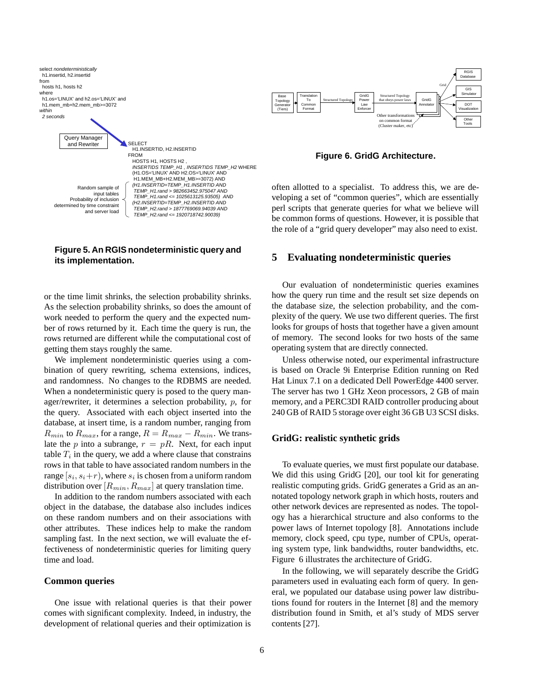

**Figure 5. An RGIS nondeterministic query and its implementation.**

or the time limit shrinks, the selection probability shrinks. As the selection probability shrinks, so does the amount of work needed to perform the query and the expected number of rows returned by it. Each time the query is run, the rows returned are different while the computational cost of getting them stays roughly the same.

We implement nondeterministic queries using a combination of query rewriting, schema extensions, indices, and randomness. No changes to the RDBMS are needed. When a nondeterministic query is posed to the query manager/rewriter, it determines a selection probability,  $p$ , for the query. Associated with each object inserted into the database, at insert time, is a random number, ranging from  $R_{min}$  to  $R_{max}$ , for a range,  $R = R_{max} - R_{min}$ . We translate the p into a subrange,  $r = pR$ . Next, for each input table  $T_i$  in the query, we add a where clause that constrains rows in that table to have associated random numbers in the range  $[s_i, s_i + r)$ , where  $s_i$  is chosen from a uniform random distribution over  $[R_{min}, R_{max}]$  at query translation time.

In addition to the random numbers associated with each object in the database, the database also includes indices on these random numbers and on their associations with other attributes. These indices help to make the random sampling fast. In the next section, we will evaluate the effectiveness of nondeterministic queries for limiting query time and load.

#### **Common queries**

One issue with relational queries is that their power comes with significant complexity. Indeed, in industry, the development of relational queries and their optimization is



**Figure 6. GridG Architecture.**

often allotted to a specialist. To address this, we are developing a set of "common queries", which are essentially perl scripts that generate queries for what we believe will be common forms of questions. However, it is possible that the role of a "grid query developer" may also need to exist.

### **5 Evaluating nondeterministic queries**

Our evaluation of nondeterministic queries examines how the query run time and the result set size depends on the database size, the selection probability, and the complexity of the query. We use two different queries. The first looks for groups of hosts that together have a given amount of memory. The second looks for two hosts of the same operating system that are directly connected.

Unless otherwise noted, our experimental infrastructure is based on Oracle 9i Enterprise Edition running on Red Hat Linux 7.1 on a dedicated Dell PowerEdge 4400 server. The server has two 1 GHz Xeon processors, 2 GB of main memory, and a PERC3DI RAID controller producing about 240 GB of RAID 5 storage over eight 36 GB U3 SCSI disks.

#### **GridG: realistic synthetic grids**

To evaluate queries, we must first populate our database. We did this using GridG [20], our tool kit for generating realistic computing grids. GridG generates a Grid as an annotated topology network graph in which hosts, routers and other network devices are represented as nodes. The topology has a hierarchical structure and also conforms to the power laws of Internet topology [8]. Annotations include memory, clock speed, cpu type, number of CPUs, operating system type, link bandwidths, router bandwidths, etc. Figure 6 illustrates the architecture of GridG.

In the following, we will separately describe the GridG parameters used in evaluating each form of query. In general, we populated our database using power law distributions found for routers in the Internet [8] and the memory distribution found in Smith, et al's study of MDS server contents [27].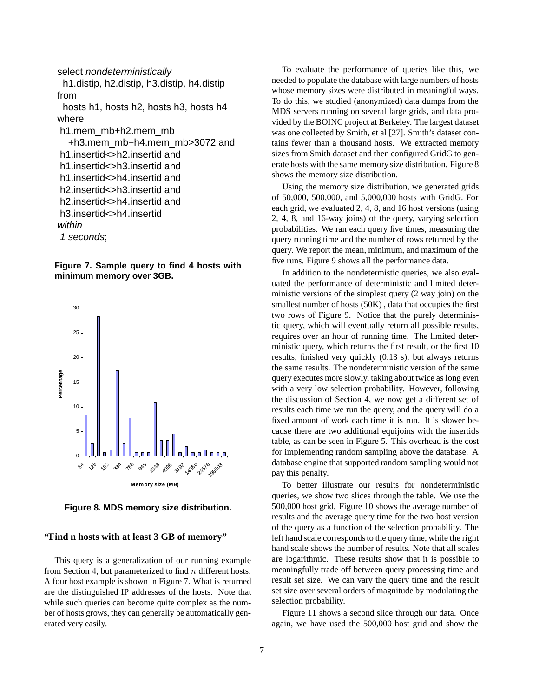```
select nondeterministically
 h1.distip, h2.distip, h3.distip, h4.distip 
from 
 hosts h1, hosts h2, hosts h3, hosts h4 
where 
h1.mem_mb+h2.mem_mb
  +h3.mem_mb+h4.mem_mb>3072 and
h1.insertid<>h2.insertid and 
h1.insertid<>h3.insertid and 
h1.insertid<>h4.insertid and 
h2.insertid<>h3.insertid and
h2.insertid<>h4.insertid and 
h3.insertid<>h4.insertid
within 
1 seconds;
```
**Figure 7. Sample query to find 4 hosts with minimum memory over 3GB.**



**Figure 8. MDS memory size distribution.**

## **"Find n hosts with at least 3 GB of memory"**

This query is a generalization of our running example from Section 4, but parameterized to find  $n$  different hosts. A four host example is shown in Figure 7. What is returned are the distinguished IP addresses of the hosts. Note that while such queries can become quite complex as the number of hosts grows, they can generally be automatically generated very easily.

To evaluate the performance of queries like this, we needed to populate the database with large numbers of hosts whose memory sizes were distributed in meaningful ways. To do this, we studied (anonymized) data dumps from the MDS servers running on several large grids, and data provided by the BOINC project at Berkeley. The largest dataset was one collected by Smith, et al [27]. Smith's dataset contains fewer than a thousand hosts. We extracted memory sizes from Smith dataset and then configured GridG to generate hosts with the same memory size distribution. Figure 8 shows the memory size distribution.

Using the memory size distribution, we generated grids of 50,000, 500,000, and 5,000,000 hosts with GridG. For each grid, we evaluated 2, 4, 8, and 16 host versions (using 2, 4, 8, and 16-way joins) of the query, varying selection probabilities. We ran each query five times, measuring the query running time and the number of rows returned by the query. We report the mean, minimum, and maximum of the five runs. Figure 9 shows all the performance data.

In addition to the nondetermistic queries, we also evaluated the performance of deterministic and limited deterministic versions of the simplest query (2 way join) on the smallest number of hosts (50K) , data that occupies the first two rows of Figure 9. Notice that the purely deterministic query, which will eventually return all possible results, requires over an hour of running time. The limited deterministic query, which returns the first result, or the first 10 results, finished very quickly (0.13 s), but always returns the same results. The nondeterministic version of the same query executes more slowly, taking about twice as long even with a very low selection probability. However, following the discussion of Section 4, we now get a different set of results each time we run the query, and the query will do a fixed amount of work each time it is run. It is slower because there are two additional equijoins with the insertids table, as can be seen in Figure 5. This overhead is the cost for implementing random sampling above the database. A database engine that supported random sampling would not pay this penalty.

To better illustrate our results for nondeterministic queries, we show two slices through the table. We use the 500,000 host grid. Figure 10 shows the average number of results and the average query time for the two host version of the query as a function of the selection probability. The left hand scale corresponds to the query time, while the right hand scale shows the number of results. Note that all scales are logarithmic. These results show that it is possible to meaningfully trade off between query processing time and result set size. We can vary the query time and the result set size over several orders of magnitude by modulating the selection probability.

Figure 11 shows a second slice through our data. Once again, we have used the 500,000 host grid and show the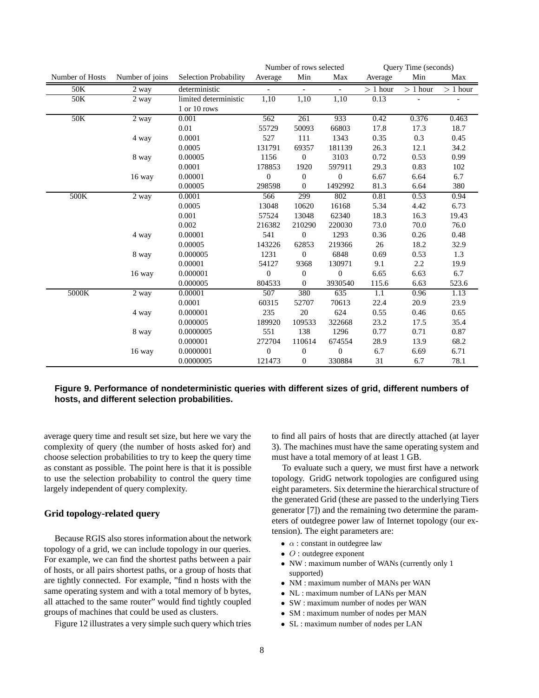|                 |                 |                              | Number of rows selected |                |                          | Query Time (seconds) |                |            |
|-----------------|-----------------|------------------------------|-------------------------|----------------|--------------------------|----------------------|----------------|------------|
| Number of Hosts | Number of joins | <b>Selection Probability</b> |                         | Min            | Max                      | Average              | Min            | Max        |
| 50K             | 2 way           | deterministic                |                         |                | $\overline{\phantom{a}}$ | $> 1$ hour           | $>1$ hour      | $> 1$ hour |
| 50K             | 2 way           | limited deterministic        | 1,10                    | 1,10           | 1,10                     | 0.13                 | $\overline{a}$ |            |
|                 |                 | 1 or 10 rows                 |                         |                |                          |                      |                |            |
| 50K             | 0.001<br>2 way  |                              | 562                     | 261            | 933                      | 0.42                 | 0.376          | 0.463      |
|                 |                 | 0.01                         | 55729                   | 50093          | 66803                    | 17.8                 | 17.3           | 18.7       |
|                 | 4 way           | 0.0001                       | 527                     | 111            | 1343                     | 0.35                 | 0.3            | 0.45       |
| 8 way           |                 | 0.0005                       | 131791                  | 69357          | 181139                   | 26.3                 | 12.1           | 34.2       |
|                 |                 | 0.00005                      | 1156                    | $\mathbf{0}$   | 3103                     | 0.72                 | 0.53           | 0.99       |
|                 |                 | 0.0001                       | 178853                  | 1920           | 597911                   | 29.3                 | 0.83           | 102        |
|                 | 16 way          | 0.00001                      | $\mathbf{0}$            | $\mathbf{0}$   | $\overline{0}$           | 6.67                 | 6.64           | 6.7        |
|                 |                 | 0.00005                      | 298598                  | $\mathbf{0}$   | 1492992                  | 81.3                 | 6.64           | 380        |
| 500K            | 2 way           | 0.0001                       | 566                     | 299            | 802                      | 0.81                 | 0.53           | 0.94       |
|                 |                 | 0.0005                       | 13048                   | 10620          | 16168                    | 5.34                 | 4.42           | 6.73       |
|                 |                 | 0.001                        | 57524                   | 13048          | 62340                    | 18.3                 | 16.3           | 19.43      |
|                 |                 | 0.002                        | 216382                  | 210290         | 220030                   | 73.0                 | 70.0           | 76.0       |
|                 | 4 way           | 0.00001                      | 541                     | $\mathbf{0}$   | 1293                     | 0.36                 | 0.26           | 0.48       |
|                 |                 | 0.00005                      | 143226                  | 62853          | 219366                   | 26                   | 18.2           | 32.9       |
|                 | 8 way           | 0.000005                     | 1231                    | $\overline{0}$ | 6848                     | 0.69                 | 0.53           | 1.3        |
|                 |                 | 0.00001                      | 54127                   | 9368           | 130971                   | 9.1                  | 2.2            | 19.9       |
| 16 way          |                 | 0.000001                     | $\overline{0}$          | $\mathbf{0}$   | $\overline{0}$           | 6.65                 | 6.63           | 6.7        |
|                 |                 | 0.000005                     | 804533                  | $\overline{0}$ | 3930540                  | 115.6                | 6.63           | 523.6      |
| 5000K           | 2 way           | 0.00001                      | 507                     | 380            | 635                      | 1.1                  | 0.96           | 1.13       |
|                 |                 | 0.0001                       | 60315                   | 52707          | 70613                    | 22.4                 | 20.9           | 23.9       |
|                 | 4 way           | 0.000001                     | 235                     | 20             | 624                      | 0.55                 | 0.46           | 0.65       |
|                 |                 | 0.000005                     | 189920                  | 109533         | 322668                   | 23.2                 | 17.5           | 35.4       |
|                 | 8 way           | 0.0000005                    | 551                     | 138            | 1296                     | 0.77                 | 0.71           | $0.87\,$   |
|                 |                 | 0.000001                     | 272704                  | 110614         | 674554                   | 28.9                 | 13.9           | 68.2       |
|                 | 16 way          | 0.0000001                    | $\boldsymbol{0}$        | $\mathbf{0}$   | $\overline{0}$           | 6.7                  | 6.69           | 6.71       |
|                 |                 | 0.0000005                    | 121473                  | $\theta$       | 330884                   | 31                   | 6.7            | 78.1       |

## **Figure 9. Performance of nondeterministic queries with different sizes of grid, different numbers of hosts, and different selection probabilities.**

average query time and result set size, but here we vary the complexity of query (the number of hosts asked for) and choose selection probabilities to try to keep the query time as constant as possible. The point here is that it is possible to use the selection probability to control the query time largely independent of query complexity.

## **Grid topology-related query**

Because RGIS also stores information about the network topology of a grid, we can include topology in our queries. For example, we can find the shortest paths between a pair of hosts, or all pairs shortest paths, or a group of hosts that are tightly connected. For example, "find n hosts with the same operating system and with a total memory of b bytes, all attached to the same router" would find tightly coupled groups of machines that could be used as clusters.

Figure 12 illustrates a very simple such query which tries

to find all pairs of hosts that are directly attached (at layer 3). The machines must have the same operating system and must have a total memory of at least 1 GB.

To evaluate such a query, we must first have a network topology. GridG network topologies are configured using eight parameters. Six determine the hierarchical structure of the generated Grid (these are passed to the underlying Tiers generator [7]) and the remaining two determine the parameters of outdegree power law of Internet topology (our extension). The eight parameters are:

- *•* α : constant in outdegree law
- *O* : outdegree exponent
- NW : maximum number of WANs (currently only 1 supported)
- *•* NM : maximum number of MANs per WAN
- *•* NL : maximum number of LANs per MAN
- *•* SW : maximum number of nodes per WAN
- *•* SM : maximum number of nodes per MAN
- *•* SL : maximum number of nodes per LAN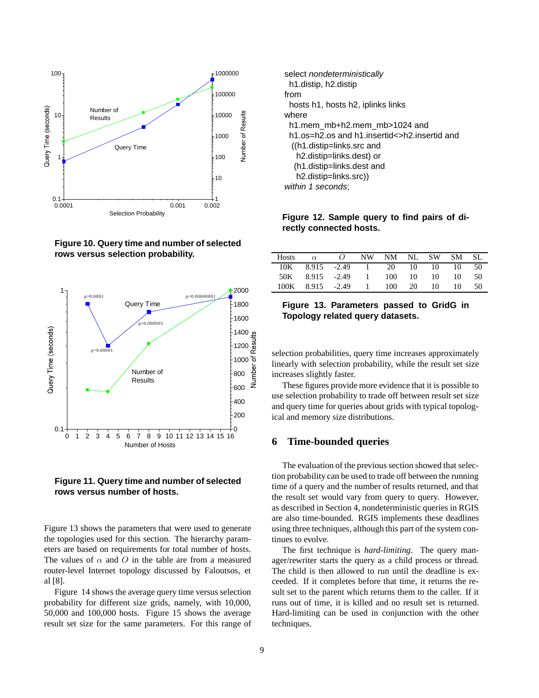

**Figure 10. Query time and number of selected rows versus selection probability.**



**Figure 11. Query time and number of selected rows versus number of hosts.**

Figure 13 shows the parameters that were used to generate the topologies used for this section. The hierarchy parameters are based on requirements for total number of hosts. The values of  $\alpha$  and O in the table are from a measured router-level Internet topology discussed by Faloutsos, et al [8].

Figure 14 shows the average query time versus selection probability for different size grids, namely, with 10,000, 50,000 and 100,000 hosts. Figure 15 shows the average result set size for the same parameters. For this range of

select *nondeterministically* h1.distip, h2.distip from hosts h1, hosts h2, iplinks links where h1.mem\_mb+h2.mem\_mb>1024 and h1.os=h2.os and h1.insertid<>h2.insertid and ((h1.distip=links.src and h2.distip=links.dest) or (h1.distip=links.dest and h2.distip=links.src)) *within 1 seconds*;

#### **Figure 12. Sample query to find pairs of directly connected hosts.**

| Hosts $\alpha$ O NW NM NL SW SM SL |  |  |  |  |
|------------------------------------|--|--|--|--|
| 10K 8.915 -2.49 1 20 10 10 10 50   |  |  |  |  |
| 50K 8.915 -2.49 1 100 10 10 10 50  |  |  |  |  |
| 100K 8.915 -2.49 1 100 20 10 10 50 |  |  |  |  |

### **Figure 13. Parameters passed to GridG in Topology related query datasets.**

selection probabilities, query time increases approximately linearly with selection probability, while the result set size increases slightly faster.

These figures provide more evidence that it is possible to use selection probability to trade off between result set size and query time for queries about grids with typical topological and memory size distributions.

## **6 Time-bounded queries**

The evaluation of the previous section showed that selection probability can be used to trade off between the running time of a query and the number of results returned, and that the result set would vary from query to query. However, as described in Section 4, nondeterministic queries in RGIS are also time-bounded. RGIS implements these deadlines using three techniques, although this part of the system continues to evolve.

The first technique is *hard-limiting*. The query manager/rewriter starts the query as a child process or thread. The child is then allowed to run until the deadline is exceeded. If it completes before that time, it returns the result set to the parent which returns them to the caller. If it runs out of time, it is killed and no result set is returned. Hard-limiting can be used in conjunction with the other techniques.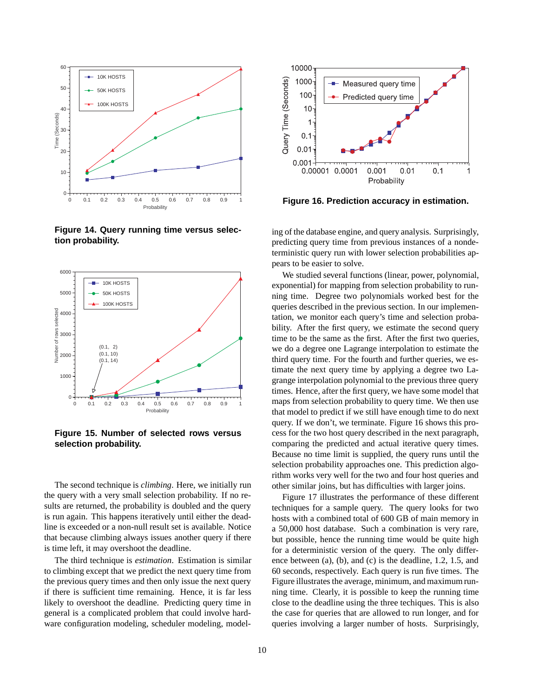

**Figure 14. Query running time versus selection probability.**



**Figure 15. Number of selected rows versus selection probability.**

The second technique is *climbing*. Here, we initially run the query with a very small selection probability. If no results are returned, the probability is doubled and the query is run again. This happens iteratively until either the deadline is exceeded or a non-null result set is available. Notice that because climbing always issues another query if there is time left, it may overshoot the deadline.

The third technique is *estimation*. Estimation is similar to climbing except that we predict the next query time from the previous query times and then only issue the next query if there is sufficient time remaining. Hence, it is far less likely to overshoot the deadline. Predicting query time in general is a complicated problem that could involve hardware configuration modeling, scheduler modeling, model-



**Figure 16. Prediction accuracy in estimation.**

ing of the database engine, and query analysis. Surprisingly, predicting query time from previous instances of a nondeterministic query run with lower selection probabilities appears to be easier to solve.

We studied several functions (linear, power, polynomial, exponential) for mapping from selection probability to running time. Degree two polynomials worked best for the queries described in the previous section. In our implementation, we monitor each query's time and selection probability. After the first query, we estimate the second query time to be the same as the first. After the first two queries, we do a degree one Lagrange interpolation to estimate the third query time. For the fourth and further queries, we estimate the next query time by applying a degree two Lagrange interpolation polynomial to the previous three query times. Hence, after the first query, we have some model that maps from selection probability to query time. We then use that model to predict if we still have enough time to do next query. If we don't, we terminate. Figure 16 shows this process for the two host query described in the next paragraph, comparing the predicted and actual iterative query times. Because no time limit is supplied, the query runs until the selection probability approaches one. This prediction algorithm works very well for the two and four host queries and other similar joins, but has difficulties with larger joins.

Figure 17 illustrates the performance of these different techniques for a sample query. The query looks for two hosts with a combined total of 600 GB of main memory in a 50,000 host database. Such a combination is very rare, but possible, hence the running time would be quite high for a deterministic version of the query. The only difference between (a), (b), and (c) is the deadline, 1.2, 1.5, and 60 seconds, respectively. Each query is run five times. The Figure illustrates the average, minimum, and maximum running time. Clearly, it is possible to keep the running time close to the deadline using the three techiques. This is also the case for queries that are allowed to run longer, and for queries involving a larger number of hosts. Surprisingly,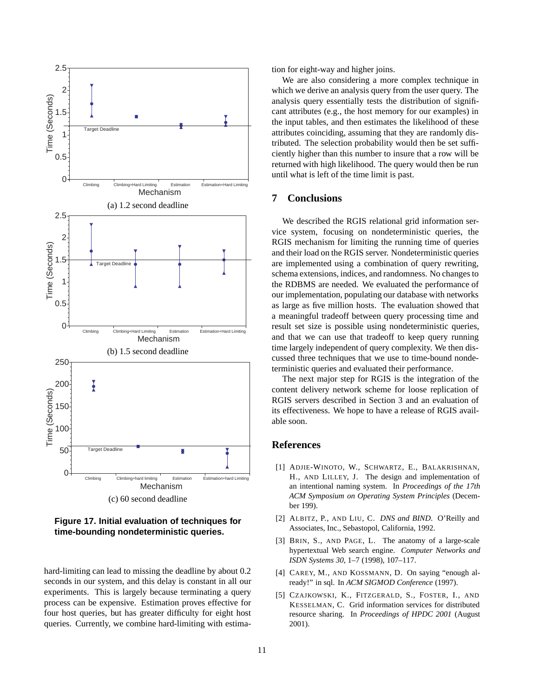

**Figure 17. Initial evaluation of techniques for time-bounding nondeterministic queries.**

hard-limiting can lead to missing the deadline by about 0.2 seconds in our system, and this delay is constant in all our experiments. This is largely because terminating a query process can be expensive. Estimation proves effective for four host queries, but has greater difficulty for eight host queries. Currently, we combine hard-limiting with estimation for eight-way and higher joins.

We are also considering a more complex technique in which we derive an analysis query from the user query. The analysis query essentially tests the distribution of significant attributes (e.g., the host memory for our examples) in the input tables, and then estimates the likelihood of these attributes coinciding, assuming that they are randomly distributed. The selection probability would then be set sufficiently higher than this number to insure that a row will be returned with high likelihood. The query would then be run until what is left of the time limit is past.

## **7 Conclusions**

We described the RGIS relational grid information service system, focusing on nondeterministic queries, the RGIS mechanism for limiting the running time of queries and their load on the RGIS server. Nondeterministic queries are implemented using a combination of query rewriting, schema extensions, indices, and randomness. No changes to the RDBMS are needed. We evaluated the performance of our implementation, populating our database with networks as large as five million hosts. The evaluation showed that a meaningful tradeoff between query processing time and result set size is possible using nondeterministic queries, and that we can use that tradeoff to keep query running time largely independent of query complexity. We then discussed three techniques that we use to time-bound nondeterministic queries and evaluated their performance.

The next major step for RGIS is the integration of the content delivery network scheme for loose replication of RGIS servers described in Section 3 and an evaluation of its effectiveness. We hope to have a release of RGIS available soon.

#### **References**

- [1] ADJIE-WINOTO, W., SCHWARTZ, E., BALAKRISHNAN, H., AND LILLEY, J. The design and implementation of an intentional naming system. In *Proceedings of the 17th ACM Symposium on Operating System Principles* (December 199).
- [2] ALBITZ, P., AND LIU, C. *DNS and BIND*. O'Reilly and Associates, Inc., Sebastopol, California, 1992.
- [3] BRIN, S., AND PAGE, L. The anatomy of a large-scale hypertextual Web search engine. *Computer Networks and ISDN Systems 30*, 1–7 (1998), 107–117.
- [4] CAREY, M., AND KOSSMANN, D. On saying "enough already!" in sql. In *ACM SIGMOD Conference* (1997).
- [5] CZAJKOWSKI, K., FITZGERALD, S., FOSTER, I., AND KESSELMAN, C. Grid information services for distributed resource sharing. In *Proceedings of HPDC 2001* (August 2001).